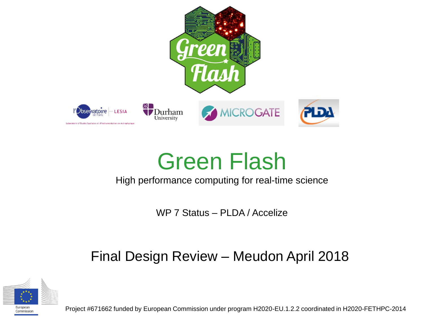

# Green Flash

#### High performance computing for real-time science

WP 7 Status – PLDA / Accelize

### Final Design Review – Meudon April 2018



Project #671662 funded by European Commission under program H2020-EU.1.2.2 coordinated in H2020-FETHPC-2014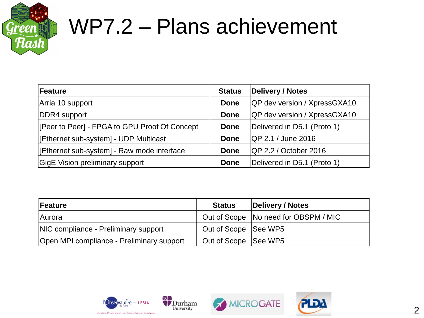

# WP7.2 – Plans achievement

| Feature                                       | <b>Status</b> | Delivery / Notes                    |
|-----------------------------------------------|---------------|-------------------------------------|
| Arria 10 support                              | <b>Done</b>   | <b>QP dev version / XpressGXA10</b> |
| DDR4 support                                  | <b>Done</b>   | <b>QP</b> dev version / XpressGXA10 |
| [Peer to Peer] - FPGA to GPU Proof Of Concept | <b>Done</b>   | Delivered in D5.1 (Proto 1)         |
| [Ethernet sub-system] - UDP Multicast         | Done          | <b>QP 2.1 / June 2016</b>           |
| [Ethernet sub-system] - Raw mode interface    | <b>Done</b>   | <b>QP 2.2 / October 2016</b>        |
| <b>GigE Vision preliminary support</b>        | <b>Done</b>   | Delivered in D5.1 (Proto 1)         |

| Feature                                   | <b>Status</b>        | Delivery / Notes                       |
|-------------------------------------------|----------------------|----------------------------------------|
| Aurora                                    |                      | Out of Scope   No need for OBSPM / MIC |
| NIC compliance - Preliminary support      | Out of Scope See WP5 |                                        |
| Open MPI compliance - Preliminary support | Out of Scope See WP5 |                                        |